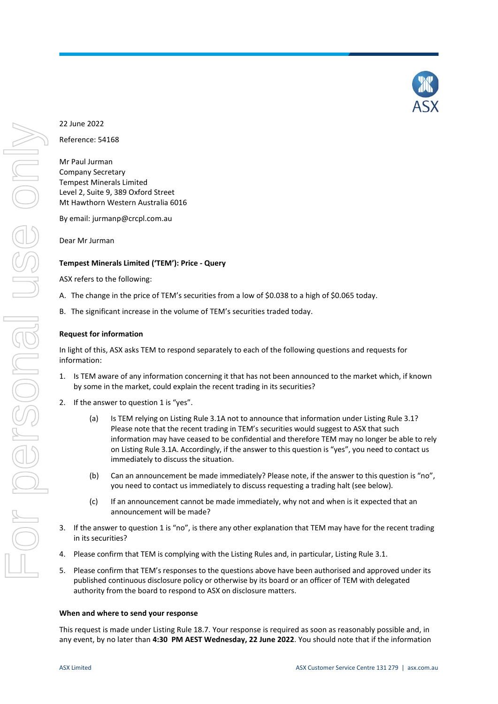## 22 June 2022

Reference: 54168

Mr Paul Jurman Company Secretary Tempest Minerals Limited Level 2, Suite 9, 389 Oxford Street Mt Hawthorn Western Australia 6016

By email: jurmanp@crcpl.com.au

Dear Mr Jurman

#### **Tempest Minerals Limited ('TEM'): Price - Query**

ASX refers to the following:

- A. The change in the price of TEM's securities from a low of \$0.038 to a high of \$0.065 today.
- B. The significant increase in the volume of TEM's securities traded today.

#### **Request for information**

In light of this, ASX asks TEM to respond separately to each of the following questions and requests for information:

- 1. Is TEM aware of any information concerning it that has not been announced to the market which, if known by some in the market, could explain the recent trading in its securities?
- 2. If the answer to question 1 is "yes".
	- (a) Is TEM relying on Listing Rule 3.1A not to announce that information under Listing Rule 3.1? Please note that the recent trading in TEM's securities would suggest to ASX that such information may have ceased to be confidential and therefore TEM may no longer be able to rely on Listing Rule 3.1A. Accordingly, if the answer to this question is "yes", you need to contact us immediately to discuss the situation.
	- (b) Can an announcement be made immediately? Please note, if the answer to this question is "no", you need to contact us immediately to discuss requesting a trading halt (see below).
	- (c) If an announcement cannot be made immediately, why not and when is it expected that an announcement will be made?
- 3. If the answer to question 1 is "no", is there any other explanation that TEM may have for the recent trading in its securities?
- 4. Please confirm that TEM is complying with the Listing Rules and, in particular, Listing Rule 3.1.
- 5. Please confirm that TEM's responses to the questions above have been authorised and approved under its published continuous disclosure policy or otherwise by its board or an officer of TEM with delegated authority from the board to respond to ASX on disclosure matters.

#### **When and where to send your response**

This request is made under Listing Rule 18.7. Your response is required as soon as reasonably possible and, in any event, by no later than **4:30 PM AEST Wednesday, 22 June 2022**. You should note that if the information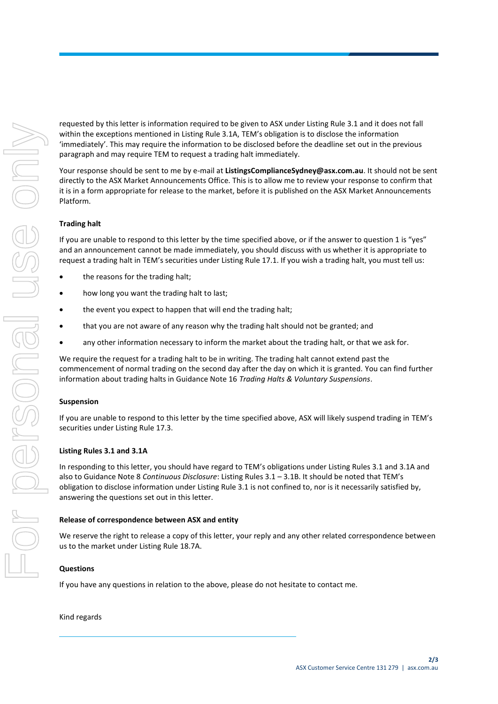requested by this letter is information required to be given to ASX under Listing Rule 3.1 and it does not fall within the exceptions mentioned in Listing Rule 3.1A, TEM's obligation is to disclose the information 'immediately'. This may require the information to be disclosed before the deadline set out in the previous paragraph and may require TEM to request a trading halt immediately.

Your response should be sent to me by e-mail at **ListingsComplianceSydney@asx.com.au**. It should not be sent directly to the ASX Market Announcements Office. This is to allow me to review your response to confirm that it is in a form appropriate for release to the market, before it is published on the ASX Market Announcements Platform.

### **Trading halt**

If you are unable to respond to this letter by the time specified above, or if the answer to question 1 is "yes" and an announcement cannot be made immediately, you should discuss with us whether it is appropriate to request a trading halt in TEM's securities under Listing Rule 17.1. If you wish a trading halt, you must tell us:

- the reasons for the trading halt;
- how long you want the trading halt to last;
- the event you expect to happen that will end the trading halt:
- that you are not aware of any reason why the trading halt should not be granted; and
- any other information necessary to inform the market about the trading halt, or that we ask for.

We require the request for a trading halt to be in writing. The trading halt cannot extend past the commencement of normal trading on the second day after the day on which it is granted. You can find further information about trading halts in Guidance Note 16 *Trading Halts & Voluntary Suspensions*.

#### **Suspension**

If you are unable to respond to this letter by the time specified above, ASX will likely suspend trading in TEM's securities under Listing Rule 17.3.

#### **Listing Rules 3.1 and 3.1A**

In responding to this letter, you should have regard to TEM's obligations under Listing Rules 3.1 and 3.1A and also to Guidance Note 8 *Continuous Disclosure*: Listing Rules 3.1 – 3.1B. It should be noted that TEM's obligation to disclose information under Listing Rule 3.1 is not confined to, nor is it necessarily satisfied by, answering the questions set out in this letter.

#### **Release of correspondence between ASX and entity**

We reserve the right to release a copy of this letter, your reply and any other related correspondence between us to the market under Listing Rule 18.7A.

#### **Questions**

If you have any questions in relation to the above, please do not hesitate to contact me.

#### Kind regards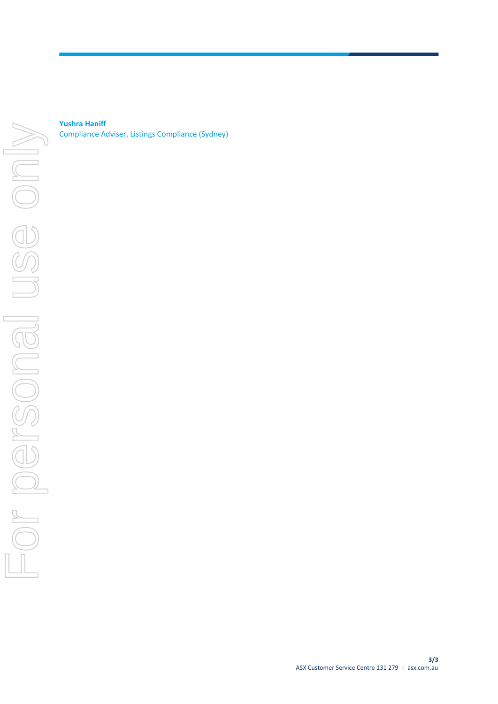**Yushra Haniff** Compliance Adviser, Listings Compliance (Sydney)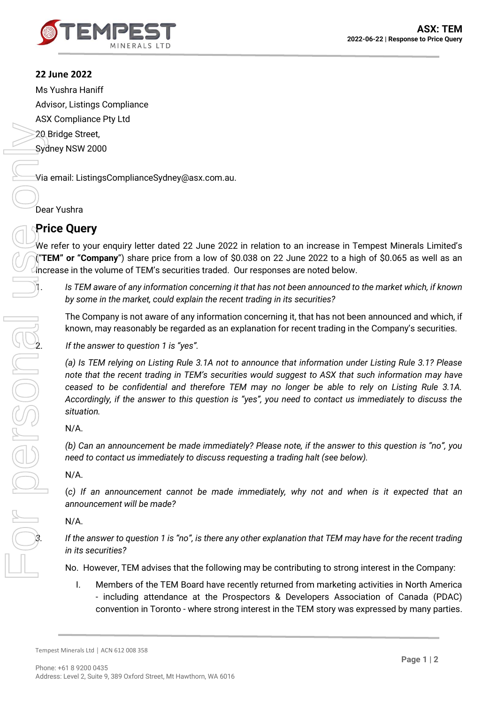

# **22 June 2022**

Ms Yushra Haniff Advisor, Listings Compliance ASX Compliance Pty Ltd 20 Bridge Street, Sydney NSW 2000 For personal use only

Via email: ListingsComplianceSydney@asx.com.au.

Dear Yushra

# **Price Query**

We refer to your enquiry letter dated 22 June 2022 in relation to an increase in Tempest Minerals Limited's ("**TEM" or "Company**") share price from a low of \$0.038 on 22 June 2022 to a high of \$0.065 as well as an increase in the volume of TEM's securities traded. Our responses are noted below.

1. *Is TEM aware of any information concerning it that has not been announced to the market which, if known by some in the market, could explain the recent trading in its securities?*

The Company is not aware of any information concerning it, that has not been announced and which, if known, may reasonably be regarded as an explanation for recent trading in the Company's securities.

2. *If the answer to question 1 is "yes".*

*(a) Is TEM relying on Listing Rule 3.1A not to announce that information under Listing Rule 3.1? Please note that the recent trading in TEM's securities would suggest to ASX that such information may have ceased to be confidential and therefore TEM may no longer be able to rely on Listing Rule 3.1A. Accordingly, if the answer to this question is "yes", you need to contact us immediately to discuss the situation.*

## N/A.

ion.

*(b) Can an announcement be made immediately? Please note, if the answer to this question is "no", you need to contact us immediately to discuss requesting a trading halt (see below).*

## N/A.

(*c) If an announcement cannot be made immediately, why not and when is it expected that an announcement will be made?*

## N/A.

*3. If the answer to question 1 is "no", is there any other explanation that TEM may have for the recent trading in its securities?*

No. However, TEM advises that the following may be contributing to strong interest in the Company:

I. Members of the TEM Board have recently returned from marketing activities in North America - including attendance at the Prospectors & Developers Association of Canada (PDAC) convention in Toronto - where strong interest in the TEM story was expressed by many parties.

Tempest Minerals Ltd │ ACN 612 008 358